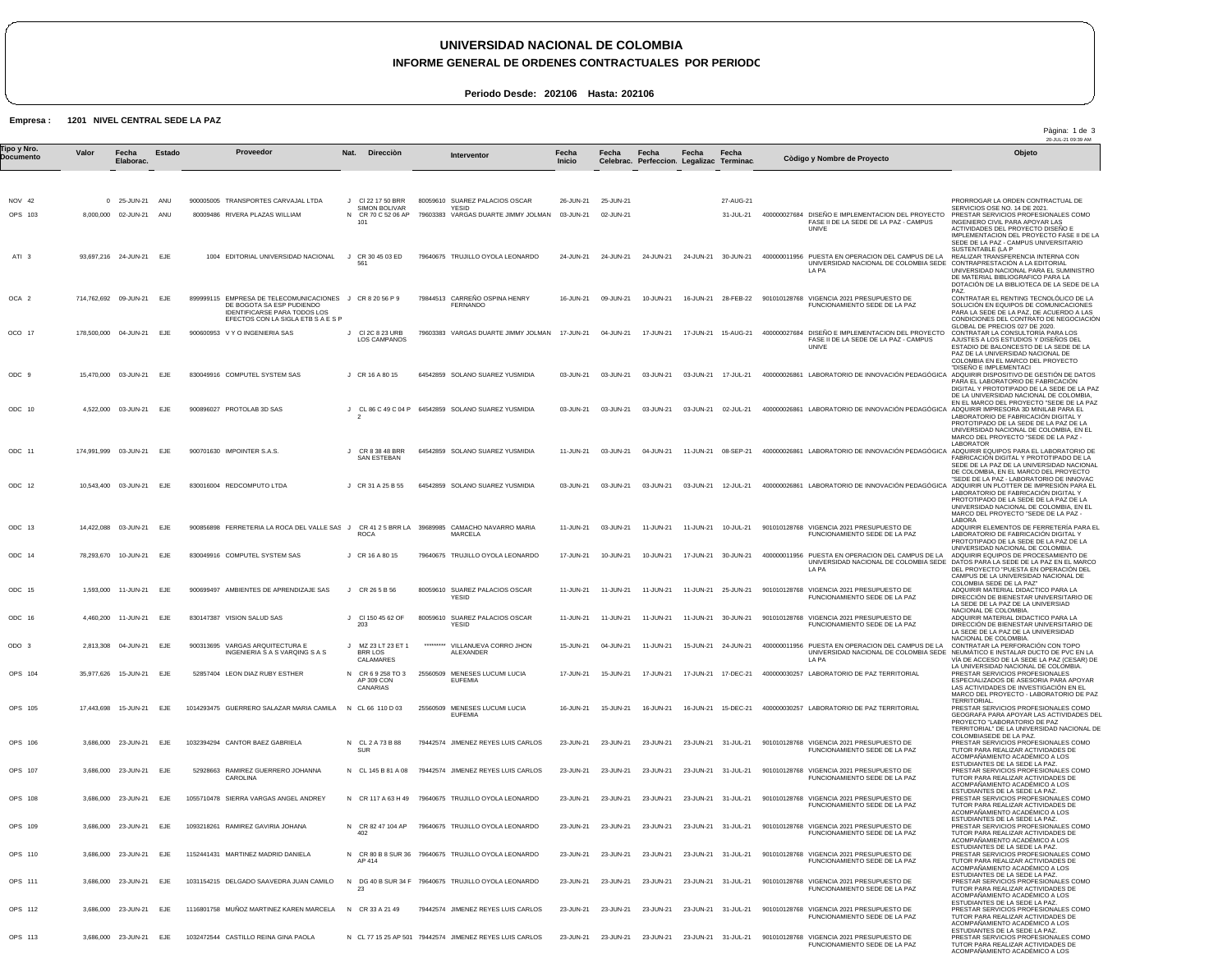## **UNIVERSIDAD NACIONAL DE COLOMBIA**

**INFORME GENERAL DE ORDENES CONTRACTUALES POR PERIODO**

Pàgina: 1 de 3

**Periodo Desde: 202106 Hasta: 202106**

## **Empresa : 1201 NIVEL CENTRAL SEDE LA PAZ**

|                          |                |                                                    |        |                                                                                                                                                             |                                                   |          |                                                                                                          |                        |                        |                                                    |           |                                            |                                                                                                                         | 20-JUL-21 09:39 AM                                                                                                                                                                                                                                        |
|--------------------------|----------------|----------------------------------------------------|--------|-------------------------------------------------------------------------------------------------------------------------------------------------------------|---------------------------------------------------|----------|----------------------------------------------------------------------------------------------------------|------------------------|------------------------|----------------------------------------------------|-----------|--------------------------------------------|-------------------------------------------------------------------------------------------------------------------------|-----------------------------------------------------------------------------------------------------------------------------------------------------------------------------------------------------------------------------------------------------------|
| Tipo y Nro.<br>Documento | Valor          | Fecha<br>Elaborac.                                 | Estado | Proveedor                                                                                                                                                   | <b>Dirección</b><br>Nat.                          |          | Interventor                                                                                              | Fecha<br><b>Inicio</b> | Fecha                  | Fecha<br>Celebrac. Perfeccion. Legalizac Terminac. | Fecha     | Fecha                                      | Còdigo y Nombre de Proyecto                                                                                             | Objeto                                                                                                                                                                                                                                                    |
|                          |                |                                                    |        |                                                                                                                                                             |                                                   |          |                                                                                                          |                        |                        |                                                    |           |                                            |                                                                                                                         |                                                                                                                                                                                                                                                           |
| NOV 42                   | $\overline{0}$ | 25-JUN-21                                          | ANU    | 900005005 TRANSPORTES CARVAJAL LTDA                                                                                                                         | J CI 22 17 50 BRR<br><b>SIMON BOLIVAR</b>         |          | 80059610 SUAREZ PALACIOS OSCAR<br>YESID                                                                  | 26-JUN-21              | 25-JUN-21              |                                                    |           | 27-AUG-21                                  |                                                                                                                         | PRORROGAR LA ORDEN CONTRACTUAL DE<br>SERVICIOS OSE NO. 14 DE 2021.                                                                                                                                                                                        |
| OPS 103                  |                | 8,000,000 02-JUN-21 ANU                            |        | 80009486 RIVERA PLAZAS WILLIAM                                                                                                                              | N CR 70 C 52 06 AP<br>101                         |          | 79603383 VARGAS DUARTE JIMMY JOLMAN 03-JUN-21                                                            |                        | 02-JUN-21              |                                                    |           | 31-JUL-21                                  | 400000027684 DISEÑO E IMPLEMENTACION DEL PROYECTO<br>FASE II DE LA SEDE DE LA PAZ - CAMPUS<br><b>UNIVE</b>              | PRESTAR SERVICIOS PROFESIONALES COMO<br>INGENIERO CIVIL PARA APOYAR LAS<br>ACTIVIDADES DEL PROYECTO DISENO E<br>IMPLEMENTACION DEL PROYECTO FASE II DE LA<br>SEDE DE LA PAZ - CAMPUS UNIVERSITARIO                                                        |
| ATI <sub>3</sub>         |                | 93,697,216 24-JUN-21 EJE                           |        | 1004 EDITORIAL UNIVERSIDAD NACIONAL                                                                                                                         | J CR 30 45 03 ED<br>561                           |          | 79640675 TRUJILLO OYOLA LEONARDO                                                                         | 24-JUN-21              | 24-JUN-21              | 24-JUN-21                                          |           | 24-JUN-21 30-JUN-21                        | 400000011956 PUESTA EN OPERACION DEL CAMPUS DE LA<br>UNIVERSIDAD NACIONAL DE COLOMBIA SEDE<br>LA PA                     | SUSTENTABLE (LA P<br>REALIZAR TRANSFERENCIA INTERNA CON<br>CONTRAPRESTACIÓN A LA EDITORIAL<br>UNIVERSIDAD NACIONAL PARA EL SUMINISTRO<br>DE MATERIAL BIBLIOGRAFICO PARA LA<br>DOTACIÓN DE LA BIBLIOTECA DE LA SEDE DE LA                                  |
| OCA <sub>2</sub>         |                | 714,762,692 09-JUN-21                              | EJE    | 899999115 EMPRESA DE TELECOMUNICACIONES J CR 8 20 56 P 9<br>DE BOGOTA SA ESP PUDIENDO<br>IDENTIFICARSE PARA TODOS LOS<br>EFECTOS CON LA SIGLA ETB S A E S P |                                                   |          | 79844513 CARREÑO OSPINA HENRY<br><b>FERNANDO</b>                                                         | 16-JUN-21              | 09-JUN-21              | 10-JUN-21                                          | 16-JUN-21 | 28-FEB-22                                  | 901010128768 VIGENCIA 2021 PRESUPUESTO DE<br>FUNCIONAMIENTO SEDE DE LA PAZ                                              | PAZ.<br>CONTRATAR EL RENTING TECNOLÓLICO DE LA<br>SOLUCIÓN EN EQUIPOS DE COMUNICACIONES<br>PARA LA SEDE DE LA PAZ, DE ACUERDO A LAS<br>CONDICIONES DEL CONTRATO DE NEGOCIACIÓN                                                                            |
| OCO 17                   |                | 178,500,000 04-JUN-21 EJE                          |        | 900600953 V Y O INGENIERIA SAS                                                                                                                              | J CI 2C 8 23 URB<br><b>LOS CAMPANOS</b>           |          | 79603383 VARGAS DUARTE JIMMY JOLMAN                                                                      | 17-JUN-21              | 04-JUN-21              | 17-JUN-21                                          | 17-JUN-21 | 15-AUG-21                                  | 400000027684 DISEÑO E IMPLEMENTACION DEL PROYECTO<br>FASE II DE LA SEDE DE LA PAZ - CAMPUS<br><b>UNIVE</b>              | GLOBAL DE PRECIOS 027 DE 2020.<br>CONTRATAR LA CONSULTORÍA PARA LOS<br>AJUSTES A LOS ESTUDIOS Y DISEÑOS DEL<br>ESTADIO DE BALONCESTO DE LA SEDE DE LA<br>PAZ DE LA UNIVERSIDAD NACIONAL DE<br>COLOMBIA EN EL MARCO DEL PROYECTO                           |
| ODC 9                    |                | 15,470,000 03-JUN-21 EJE                           |        | 830049916 COMPUTEL SYSTEM SAS                                                                                                                               | J CR 16 A 80 15                                   |          | 64542859 SOLANO SUAREZ YUSMIDIA                                                                          | 03-JUN-21              | 03-JUN-21              | 03-JUN-21                                          | 03-JUN-21 | 17-JUL-21                                  | 400000026861 LABORATORIO DE INNOVACIÓN PEDAGÓGICA                                                                       | "DISEÑO E IMPLEMENTACI<br>ADQUIRIR DISPOSITIVO DE GESTIÓN DE DATOS<br>PARA EL LABORATORIO DE FABRICACIÓN<br>DIGITAL Y PROTOTIPADO DE LA SEDE DE LA PAZ<br>DE LA UNIVERSIDAD NACIONAL DE COLOMBIA.                                                         |
| ODC 10                   |                | 4,522,000 03-JUN-21 EJE                            |        | 900896027 PROTOLAB 3D SAS                                                                                                                                   |                                                   |          | CL 86 C 49 C 04 P 64542859 SOLANO SUAREZ YUSMIDIA                                                        | 03-JUN-21              | 03-JUN-21              | 03-JUN-21                                          |           | 03-JUN-21 02-JUL-21                        | 400000026861 LABORATORIO DE INNOVACIÓN PEDAGÓGICA                                                                       | EN EL MARCO DEL PROYECTO "SEDE DE LA PAZ<br>ADQUIRIR IMPRESORA 3D MINILAB PARA EL<br>LABORATORIO DE FABRICACIÓN DIGITAL Y<br>PROTOTIPADO DE LA SEDE DE LA PAZ DE LA<br>UNIVERSIDAD NACIONAL DE COLOMBIA, EN EL<br>MARCO DEL PROYECTO "SEDE DE LA PAZ -    |
| ODC 11                   |                | 174,991,999 03-JUN-21 EJE                          |        | 900701630 IMPOINTER S.A.S.                                                                                                                                  | J CR 8 38 48 BRR<br>SAN ESTEBAN                   |          | 64542859 SOLANO SUAREZ YUSMIDIA                                                                          | 11-JUN-21              | 03-JUN-21              | 04-JUN-21                                          |           | 11-JUN-21 08-SEP-21                        | 400000026861 LABORATORIO DE INNOVACIÓN PEDAGÓGICA                                                                       | <b>LABORATOR</b><br>ADQUIRIR EQUIPOS PARA EL LABORATORIO DE<br>FABRICACIÓN DIGITAL Y PROTOTIPADO DE LA<br>SEDE DE LA PAZ DE LA UNIVERSIDAD NACIONAL<br>DE COLOMBIA, EN EL MARCO DEL PROYECTO                                                              |
| ODC 12                   |                | 10,543,400 03-JUN-21                               | EJE    | 830016004 REDCOMPUTO LTDA                                                                                                                                   | J CR 31 A 25 B 55                                 |          | 64542859 SOLANO SUAREZ YUSMIDIA                                                                          | 03-JUN-21              | 03-JUN-21              | 03-JUN-21                                          | 03-JUN-21 | 12-JUL-21                                  | 400000026861 LABORATORIO DE INNOVACIÓN PEDAGÓGICA                                                                       | "SEDE DE LA PAZ - LABORATORIO DE INNOVAC<br>ADQUIRIR UN PLOTTER DE IMPRESIÓN PARA EL<br>LABORATORIO DE FABRICACIÓN DIGITAL Y<br>PROTOTIPADO DE LA SEDE DE LA PAZ DE LA<br>UNIVERSIDAD NACIONAL DE COLOMBIA, EN EL<br>MARCO DEL PROYECTO "SEDE DE LA PAZ - |
| ODC 13                   |                | 14,422,088 03-JUN-21 EJE                           |        | 900856898 FERRETERIA LA ROCA DEL VALLE SAS J                                                                                                                | <b>ROCA</b>                                       |          | CR 41 2 5 BRR LA 39689985 CAMACHO NAVARRO MARIA<br><b>MARCELA</b>                                        | 11-JUN-21              | 03-JUN-21              | 11-JUN-21                                          | 11-JUN-21 | 10-JUL-21                                  | 901010128768 VIGENCIA 2021 PRESUPUESTO DE<br>FUNCIONAMIENTO SEDE DE LA PAZ                                              | LABORA<br>ADQUIRIR ELEMENTOS DE FERRETERIA PARA EL<br>LABORATORIO DE FABRICACIÓN DIGITAL Y<br>PROTOTIPADO DE LA SEDE DE LA PAZ DE LA<br>UNIVERSIDAD NACIONAL DE COLOMBIA.                                                                                 |
| ODC 14                   |                | 78,293,670 10-JUN-21 EJE                           |        | 830049916 COMPUTEL SYSTEM SAS                                                                                                                               | J CR 16 A 80 15                                   |          | 79640675 TRUJILLO OYOLA LEONARDO                                                                         | 17-JUN-21              | 10-JUN-21              | 10-JUN-21                                          | 17-JUN-21 | 30-JUN-21                                  | 400000011956 PUESTA EN OPERACION DEL CAMPUS DE LA<br>LA PA                                                              | ADQUIRIR EQUIPOS DE PROCESAMIENTO DE<br>UNIVERSIDAD NACIONAL DE COLOMBIA SEDE DATOS PARA LA SEDE DE LA PAZ EN EL MARCO<br>DEL PROYECTO "PUESTA EN OPERACIÓN DEL<br>CAMPUS DE LA UNIVERSIDAD NACIONAL DE                                                   |
| ODC 15                   | 1,593,000      | 11-JUN-21                                          | EJE    | 900699497 AMBIENTES DE APRENDIZAJE SAS                                                                                                                      | CR 26 5 B 56<br>$\cdot$                           |          | 80059610 SUAREZ PALACIOS OSCAR<br>YESID                                                                  | 11-JUN-21              | 11-JUN-21              | 11-JUN-21                                          | 11-JUN-21 | 25-JUN-21                                  | 901010128768 VIGENCIA 2021 PRESUPUESTO DE<br>FUNCIONAMIENTO SEDE DE LA PAZ                                              | COLOMBIA SEDE DE LA PAZ"<br>ADQUIRIR MATERIAL DIDACTICO PARA LA<br>DIRECCIÓN DE BIENESTAR UNIVERSITARIO DE<br>LA SEDE DE LA PAZ DE LA UNIVERSIAD<br>NACIONAL DE COLOMBIA.                                                                                 |
| ODC 16                   |                | 4,460,200 11-JUN-21                                | - EJE  | 830147387 VISION SALUD SAS                                                                                                                                  | CI 150 45 62 OF<br>-203                           | 80059610 | SUAREZ PALACIOS OSCAR<br>YESID                                                                           | 11-JUN-21              | 11-JUN-21              | 11-JUN-21                                          | 11-JUN-21 | 30-JUN-21                                  | VIGENCIA 2021 PRESUPUESTO DE<br>901010128768<br>FUNCIONAMIENTO SEDE DE LA PAZ                                           | ADQUIRIR MATERIAL DIDACTICO PARA LA<br>DIRECCIÓN DE BIENESTAR UNIVERSITARIO DE<br>LA SEDE DE LA PAZ DE LA UNIVERSIDAD<br>NACIONAL DE COLOMBIA.                                                                                                            |
| ODO 3                    |                | 2,813,308 04-JUN-21                                | EJE    | 900313695 VARGAS ARQUITECTURA E<br>INGENIERIA S A S VARQING S A S                                                                                           | J MZ 23 LT 23 ET 1<br><b>BRR LOS</b><br>CALAMARES |          | ********* VILLANUEVA CORRO JHON<br>ALEXANDER                                                             | 15-JUN-21              | 04-JUN-21              | 11-JUN-21                                          | 15-JUN-21 | 24-JUN-21                                  | 400000011956 PUESTA EN OPERACION DEL CAMPUS DE LA<br>UNIVERSIDAD NACIONAL DE COLOMBIA SEDE<br>LA PA                     | CONTRATAR LA PERFORACIÓN CON TOPO<br>NEUMÁTICO E INSTALAR DUCTO DE PVC EN LA<br>VÍA DE ACCESO DE LA SEDE LA PAZ (CESAR) DE<br>LA UNIVERSIDAD NACIONAL DE COLOMBIA.                                                                                        |
| OPS 104                  |                | 35,977,626 15-JUN-21 EJE                           |        | 52857404 LEON DIAZ RUBY ESTHER                                                                                                                              | N CR69258 TO 3<br>AP 309 CON<br>CANARIAS          |          | 25560509 MENESES LUCUMI LUCIA<br><b>FUFFMIA</b>                                                          | 17-JUN-21              | 15-JUN-21              | 17-JUN-21                                          |           | 17-JUN-21  17-DEC-21                       | 400000030257 LABORATORIO DE PAZ TERRITORIAL                                                                             | PRESTAR SERVICIOS PROFESIONALES<br>ESPECIALIZADOS DE ASESORIA PARA APOYAR<br>LAS ACTIVIDADES DE INVESTIGACIÓN EN EL<br>MARCO DEL PROYECTO - LABORATORIO DE PAZ<br><b>TERRITORIAL</b>                                                                      |
| OPS 105                  |                | 17,443,698  15-JUN-21  EJE                         |        | 1014293475 GUERRERO SALAZAR MARIA CAMILA N CL 66 110 D 03                                                                                                   |                                                   |          | 25560509 MENESES LUCUMI LUCIA<br><b>EUFEMIA</b>                                                          | 16-JUN-21              | 15-JUN-21              | 16-JUN-21                                          |           |                                            | 16-JUN-21  15-DEC-21  400000030257  LABORATORIO DE PAZ TERRITORIAL                                                      | PRESTAR SERVICIOS PROFESIONALES COMO<br>GEOGRAFA PARA APOYAR LAS ACTIVIDADES DEL<br>PROYECTO "LABORATORIO DE PAZ<br>TERRITORIAL" DE LA UNIVERSIDAD NACIONAL DE                                                                                            |
| OPS 106                  |                | 3,686,000 23-JUN-21 EJE                            |        | 1032394294 CANTOR BAEZ GABRIELA                                                                                                                             | N CL2A73B88<br><b>SUR</b>                         |          | 79442574 JIMENEZ REYES LUIS CARLOS                                                                       | 23-JUN-21              | 23-JUN-21              | 23-JUN-21                                          |           | 23-JUN-21 31-JUL-21                        | 901010128768 VIGENCIA 2021 PRESUPUESTO DE<br>FUNCIONAMIENTO SEDE DE LA PAZ                                              | COLOMBIASEDE DE LA PAZ.<br>PRESTAR SERVICIOS PROFESIONALES COMO<br>TUTOR PARA REALIZAR ACTIVIDADES DE<br>ACOMPAÑAMIENTO ACADÉMICO A LOS<br>ESTUDIANTES DE LA SEDE LA PAZ.                                                                                 |
| OPS 107                  |                | 3,686,000 23-JUN-21 EJE                            |        | 52928663 RAMIREZ GUERRERO JOHANNA<br>CAROLINA                                                                                                               |                                                   |          | N CL 145 B 81 A 08 79442574 JIMENEZ REYES LUIS CARLOS                                                    | 23-JUN-21              | 23-JUN-21              | 23-JUN-21                                          |           | 23-JUN-21 31-JUL-21                        | 901010128768 VIGENCIA 2021 PRESUPUESTO DE<br>FUNCIONAMIENTO SEDE DE LA PAZ                                              | PRESTAR SERVICIOS PROFESIONALES COMO<br>TUTOR PARA REALIZAR ACTIVIDADES DE<br>ACOMPAÑAMIENTO ACADÉMICO A LOS<br>ESTUDIANTES DE LA SEDE LA PAZ.                                                                                                            |
| OPS 108                  |                | 3,686,000 23-JUN-21 EJE                            |        | 1055710478 SIERRA VARGAS ANGEL ANDREY                                                                                                                       |                                                   |          | N CR 117 A 63 H 49 79640675 TRUJILLO OYOLA LEONARDO                                                      | 23-JUN-21              | 23-JUN-21              | 23-JUN-21                                          |           | 23-JUN-21 31-JUL-21                        | 901010128768 VIGENCIA 2021 PRESUPUESTO DE<br>FUNCIONAMIENTO SEDE DE LA PAZ                                              | PRESTAR SERVICIOS PROFESIONALES COMO<br>TUTOR PARA REALIZAR ACTIVIDADES DE<br>ACOMPAÑAMIENTO ACADÉMICO A LOS<br>ESTUDIANTES DE LA SEDE LA PAZ.                                                                                                            |
| OPS 109                  |                | 3,686,000 23-JUN-21 EJE                            |        | 1093218261 RAMIREZ GAVIRIA JOHANA                                                                                                                           | N CR 82 47 104 AP<br>402                          |          | 79640675 TRUJILLO OYOLA LEONARDO                                                                         | 23-JUN-21              | 23-JUN-21              | 23-JUN-21                                          |           | 23-JUN-21 31-JUL-21                        | 901010128768 VIGENCIA 2021 PRESUPUESTO DE<br>FUNCIONAMIENTO SEDE DE LA PAZ                                              | PRESTAR SERVICIOS PROFESIONALES COMO<br>TUTOR PARA REALIZAR ACTIVIDADES DE<br>ACOMPAÑAMIENTO ACADÉMICO A LOS<br>ESTUDIANTES DE LA SEDE LA PAZ.                                                                                                            |
| OPS 110<br>OPS 111       |                | 3,686,000 23-JUN-21 EJE<br>3,686,000 23-JUN-21 EJE |        | 1152441431 MARTINEZ MADRID DANIELA<br>1031154215 DELGADO SAAVEDRA JUAN CAMILO                                                                               | AP 414                                            |          | N CR 80 B 8 SUR 36 79640675 TRUJILLO OYOLA LEONARDO<br>DG 40 B SUR 34 F 79640675 TRUJILLO OYOLA LEONARDO | 23-JUN-21<br>23-JUN-21 | 23-JUN-21<br>23-JUN-21 | 23-JUN-21<br>23-JUN-21                             |           | 23-JUN-21 31-JUL-21<br>23-JUN-21 31-JUL-21 | 901010128768 VIGENCIA 2021 PRESUPUESTO DE<br>FUNCIONAMIENTO SEDE DE LA PAZ<br>901010128768 VIGENCIA 2021 PRESUPUESTO DE | PRESTAR SERVICIOS PROFESIONALES COMO<br>TUTOR PARA REALIZAR ACTIVIDADES DE<br>ACOMPAÑAMIENTO ACADÉMICO A LOS<br>ESTUDIANTES DE LA SEDE LA PAZ.<br>PRESTAR SERVICIOS PROFESIONALES COMO                                                                    |
| OPS 112                  |                | 3,686,000 23-JUN-21                                | EJE    | 1116801758 MUÑOZ MARTINEZ KAREN MARCELA                                                                                                                     | 23<br>N CR 33 A 21 49                             |          | 79442574 JIMENEZ REYES LUIS CARLOS                                                                       | 23-JUN-21              | 23-JUN-21              | 23-JUN-21                                          | 23-JUN-21 | 31-JUL-21                                  | FUNCIONAMIENTO SEDE DE LA PAZ<br>901010128768 VIGENCIA 2021 PRESUPUESTO DE                                              | TUTOR PARA REALIZAR ACTIVIDADES DE<br>ACOMPAÑAMIENTO ACADÉMICO A LOS<br>ESTUDIANTES DE LA SEDE LA PAZ.<br>PRESTAR SERVICIOS PROFESIONALES COMO                                                                                                            |
| OPS 113                  |                | 3,686,000 23-JUN-21 EJE                            |        | 1032472544 CASTILLO REINA GINA PAOLA                                                                                                                        |                                                   |          | N CL 77 15 25 AP 501 79442574 JIMENEZ REYES LUIS CARLOS                                                  | 23-JUN-21              | 23-JUN-21              | 23-JUN-21                                          |           | 23-JUN-21 31-JUL-21                        | FUNCIONAMIENTO SEDE DE LA PAZ<br>901010128768 VIGENCIA 2021 PRESUPUESTO DE                                              | TUTOR PARA REALIZAR ACTIVIDADES DE<br>ACOMPAÑAMIENTO ACADÉMICO A LOS<br>ESTUDIANTES DE LA SEDE LA PAZ.<br>PRESTAR SERVICIOS PROFESIONALES COMO                                                                                                            |
|                          |                |                                                    |        |                                                                                                                                                             |                                                   |          |                                                                                                          |                        |                        |                                                    |           |                                            | FUNCIONAMIENTO SEDE DE LA PAZ                                                                                           | TUTOR PARA REALIZAR ACTIVIDADES DE<br>ACOMPAÑAMIENTO ACADÉMICO A LOS                                                                                                                                                                                      |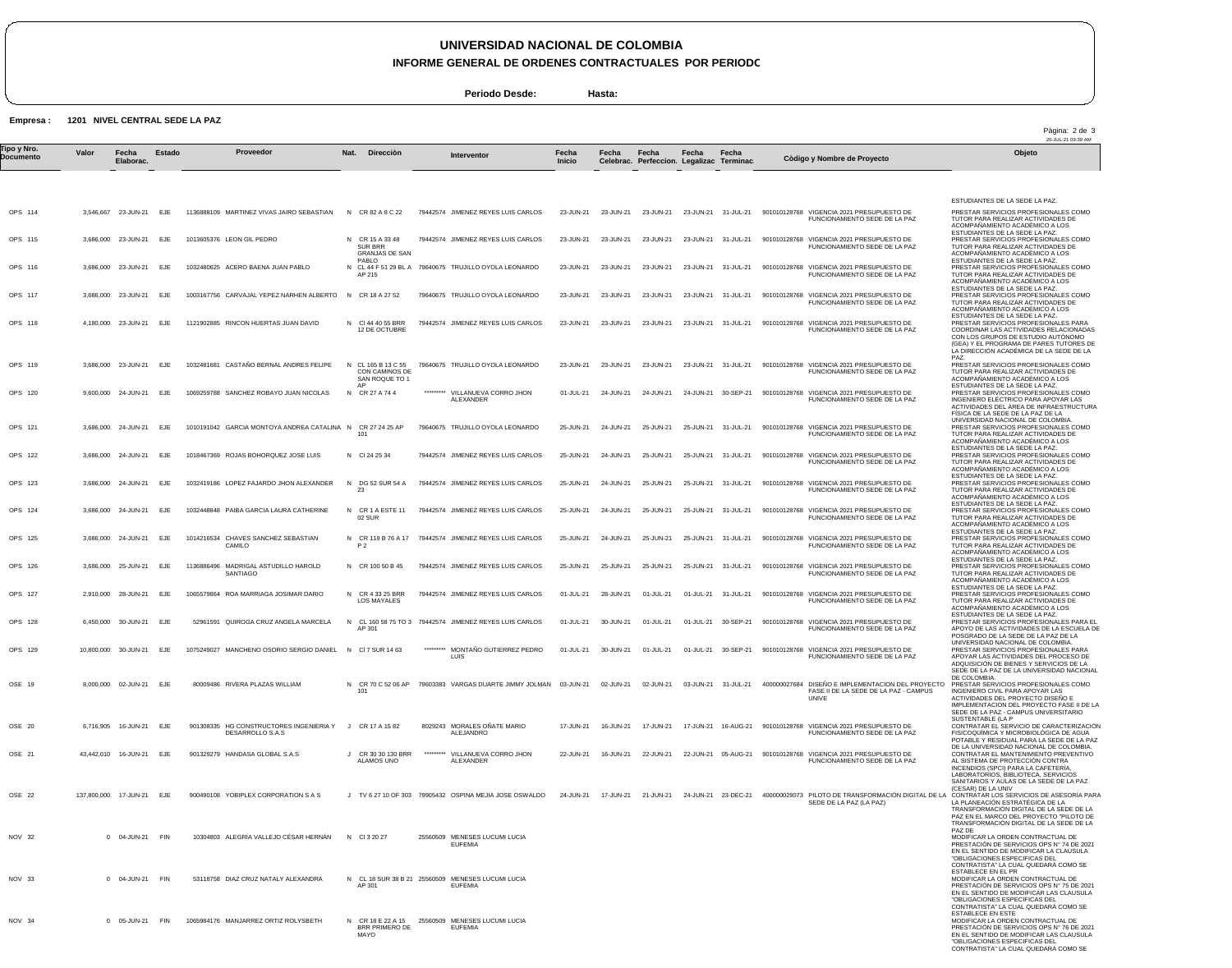## **UNIVERSIDAD NACIONAL DE COLOMBIA**

**INFORME GENERAL DE ORDENES CONTRACTUALES POR PERIODO**

**Periodo Desde: Hasta:**

**Empresa : 1201 NIVEL CENTRAL SEDE LA PAZ**

|                                 | $- - -$   |                       |            |                                |                                                                             |                                                            |           |                                                                     |                        |           |                                                    |                     |                     |                                                                                                     | Pàgina: 2 de 3<br>20-JUL-21 09:39 AM                                                                                                                                                                                                                                   |
|---------------------------------|-----------|-----------------------|------------|--------------------------------|-----------------------------------------------------------------------------|------------------------------------------------------------|-----------|---------------------------------------------------------------------|------------------------|-----------|----------------------------------------------------|---------------------|---------------------|-----------------------------------------------------------------------------------------------------|------------------------------------------------------------------------------------------------------------------------------------------------------------------------------------------------------------------------------------------------------------------------|
| <b>Fipo y Nro.</b><br>Documento | Valor     | Fecha<br>Elaborac.    | Estado     |                                | Proveedor                                                                   | Direcciòn<br>Nat.                                          |           | Interventor                                                         | Fecha<br><b>Inicio</b> | Fecha     | Fecha<br>Celebrac. Perfeccion. Legalizac Terminac. | Fecha               | Fecha               | Còdigo y Nombre de Proyecto                                                                         | Objeto                                                                                                                                                                                                                                                                 |
|                                 |           |                       |            |                                |                                                                             |                                                            |           |                                                                     |                        |           |                                                    |                     |                     |                                                                                                     | ESTUDIANTES DE LA SEDE LA PAZ.                                                                                                                                                                                                                                         |
| OPS 114                         |           | 3.546.667 23-JUN-21   | EJE        |                                | 1136888109 MARTINEZ VIVAS JAIRO SEBASTIAN                                   | N CR 82 A 8 C 22                                           |           | 79442574 JIMENEZ REYES LUIS CARLOS                                  | 23-JUN-21              | 23-JUN-21 | 23-JUN-21                                          | 23-JUN-21 31-JUL-21 |                     | 901010128768 VIGENCIA 2021 PRESUPUESTO DE<br>FUNCIONAMIENTO SEDE DE LA PAZ                          | PRESTAR SERVICIOS PROFESIONALES COMO<br>TUTOR PARA REALIZAR ACTIVIDADES DE<br>ACOMPAÑAMIENTO ACADÉMICO A LOS                                                                                                                                                           |
| OPS 115                         |           | 3,686,000 23-JUN-21   | EJE        | 1013605376 LEON GIL PEDRO      |                                                                             | N CR 15 A 33 48<br><b>SUR BRR</b><br><b>GRANJAS DE SAN</b> |           | 79442574 JIMENEZ REYES LUIS CARLOS                                  | 23-JUN-21              | 23-JUN-21 | 23-JUN-21                                          | 23-JUN-21           | 31-JUL-21           | 901010128768 VIGENCIA 2021 PRESUPUESTO DE<br>FUNCIONAMIENTO SEDE DE LA PAZ                          | ESTUDIANTES DE LA SEDE LA PAZ.<br>PRESTAR SERVICIOS PROFESIONALES COMO<br>TUTOR PARA REALIZAR ACTIVIDADES DE<br>ACOMPAÑAMIENTO ACADÉMICO A LOS                                                                                                                         |
| OPS 116                         |           | 3,686,000 23-JUN-21   | EJE        |                                | 1032480625 ACERO BAENA JUAN PABLO                                           | PABLO<br>AP 215                                            |           | N CL 44 F 51 29 BL A 79640675 TRUJILLO OYOLA LEONARDO               | 23-JUN-21              | 23-JUN-21 | 23-JUN-21                                          | 23-JUN-21           | 31-JUL-21           | 901010128768 VIGENCIA 2021 PRESUPUESTO DE<br>FUNCIONAMIENTO SEDE DE LA PAZ                          | ESTUDIANTES DE LA SEDE LA PAZ.<br>PRESTAR SERVICIOS PROFESIONALES COMO<br>TUTOR PARA REALIZAR ACTIVIDADES DE<br>ACOMPAÑAMIENTO ACADÉMICO A LOS                                                                                                                         |
| OPS 117                         |           | 3,686,000 23-JUN-21   | EJE        |                                | 1003167756 CARVAJAL YEPEZ NARHEN ALBERTO                                    | N CR 18 A 27 52                                            |           | 79640675 TRUJILLO OYOLA LEONARDO                                    | 23-JUN-21              | 23-JUN-21 | 23-JUN-21                                          | 23-JUN-21           | 31-JUL-21           | 901010128768 VIGENCIA 2021 PRESUPUESTO DE<br>FUNCIONAMIENTO SEDE DE LA PAZ                          | ESTUDIANTES DE LA SEDE LA PAZ.<br>PRESTAR SERVICIOS PROFESIONALES COMO<br>TUTOR PARA REALIZAR ACTIVIDADES DE<br>ACOMPAÑAMIENTO ACADÉMICO A LOS                                                                                                                         |
| OPS 118                         |           | 4,180,000 23-JUN-21   | EJE        |                                | 1121902885 RINCON HUERTAS JUAN DAVID                                        | N CI 44 40 55 BRR<br>12 DE OCTUBRE                         |           | 79442574 JIMENEZ REYES LUIS CARLOS                                  | 23-JUN-21              | 23-JUN-21 | 23-JUN-21                                          | 23-JUN-21 31-JUL-21 |                     | 901010128768 VIGENCIA 2021 PRESUPUESTO DE<br>FUNCIONAMIENTO SEDE DE LA PAZ                          | ESTUDIANTES DE LA SEDE LA PAZ.<br>PRESTAR SERVICIOS PROFESIONALES PARA<br>COORDINAR LAS ACTIVIDADES RELACIONADAS<br>CON LOS GRUPOS DE ESTUDIO AUTÓNOMO<br>(GEA) Y EL PROGRAMA DE PARES TUTORES DE<br>LA DIRECCIÓN ACADÉMICA DE LA SEDE DE LA                           |
| OPS 119                         | 3,686,000 | 23-JUN-21             | EJE        |                                | 1032481681 CASTAÑO BERNAL ANDRES FELIPE                                     | N CL 165 B 13 C 55<br>CON CAMINOS DE<br>SAN ROQUE TO 1     |           | 79640675 TRUJILLO OYOLA LEONARDO                                    | 23-JUN-21              | 23-JUN-21 | 23-JUN-21                                          | 23-JUN-21           | 31-JUL-21           | 901010128768 VIGENCIA 2021 PRESUPUESTO DE<br>FUNCIONAMIENTO SEDE DE LA PAZ                          | PAZ.<br>PRESTAR SERVICIOS PROFESIONALES COMO<br>TUTOR PARA REALIZAR ACTIVIDADES DE<br>ACOMPAÑAMIENTO ACADÉMICO A LOS                                                                                                                                                   |
| OPS 120                         |           | 9,600,000 24-JUN-21   | EJE        |                                | 1069259788 SANCHEZ ROBAYO JUAN NICOLAS                                      | AP<br>CR 27 A 74 4<br>N                                    | ********* | VILLANUEVA CORRO JHON<br>ALEXANDER                                  | 01-JUL-21              | 24-JUN-21 | 24-JUN-21                                          | 24-JUN-21           | 30-SEP-21           | 901010128768 VIGENCIA 2021 PRESUPUESTO DE<br>FUNCIONAMIENTO SEDE DE LA PAZ                          | ESTUDIANTES DE LA SEDE LA PAZ.<br>PRESTAR SERVICIOS PROFESIONALES COMO<br>INGENIERO ELÉCTRICO PARA APOYAR LAS<br>ACTIVIDADES DEL ÁREA DE INFRAESTRUCTURA<br>FÍSICA DE LA SEDE DE LA PAZ DE LA                                                                          |
| OPS 121                         | 3,686,000 | 24-JUN-21             | EJE        |                                | 1010191042 GARCIA MONTOYA ANDREA CATALINA N                                 | CR 27 24 25 AP<br>101                                      |           | 79640675 TRUJILLO OYOLA LEONARDO                                    | 25-JUN-21              | 24-JUN-21 | 25-JUN-21                                          | 25-JUN-21           | 31-JUL-21           | 901010128768 VIGENCIA 2021 PRESUPUESTO DE<br>FUNCIONAMIENTO SEDE DE LA PAZ                          | UNIVERSIDAD NACIONAL DE COLOMBIA<br>PRESTAR SERVICIOS PROFESIONALES COMO<br>TUTOR PARA REALIZAR ACTIVIDADES DE<br>ACOMPAÑAMIENTO ACADÉMICO A LOS                                                                                                                       |
| OPS 122                         |           | 3,686,000 24-JUN-21   | EJE        |                                | 1018467369 ROJAS BOHORQUEZ JOSE LUIS                                        | N CI 24 25 34                                              |           | 79442574 JIMENEZ REYES LUIS CARLOS                                  | 25-JUN-21              | 24-JUN-21 | 25-JUN-21                                          | 25-JUN-21 31-JUL-21 |                     | 901010128768 VIGENCIA 2021 PRESUPUESTO DE<br>FUNCIONAMIENTO SEDE DE LA PAZ                          | ESTUDIANTES DE LA SEDE LA PAZ.<br>PRESTAR SERVICIOS PROFESIONALES COMO<br>TUTOR PARA REALIZAR ACTIVIDADES DE<br>ACOMPAÑAMIENTO ACADÉMICO A LOS                                                                                                                         |
| OPS 123                         |           | 3,686,000 24-JUN-21   | EJE        |                                | 1032419186 LOPEZ FAJARDO JHON ALEXANDER                                     | DG 52 SUR 54 A<br>N<br>23                                  |           | 79442574 JIMENEZ REYES LUIS CARLOS                                  | 25-JUN-21              | 24-JUN-21 | 25-JUN-21                                          | 25-JUN-21           | 31-JUL-21           | 901010128768 VIGENCIA 2021 PRESUPUESTO DE<br>FUNCIONAMIENTO SEDE DE LA PAZ                          | ESTUDIANTES DE LA SEDE LA PAZ.<br>PRESTAR SERVICIOS PROFESIONALES COMO<br>TUTOR PARA REALIZAR ACTIVIDADES DE<br>ACOMPAÑAMIENTO ACADÉMICO A LOS                                                                                                                         |
| OPS 124                         |           | 3,686,000 24-JUN-21   | EJE.       |                                | 1032448848 PAIBA GARCIA LAURA CATHERINE                                     | CR 1 A ESTE 11<br>N<br>02 SUR                              |           | 79442574 JIMENEZ REYES LUIS CARLOS                                  | 25-JUN-21              | 24-JUN-21 | 25-JUN-21                                          | 25-JUN-21           | 31-JUL-21           | 901010128768 VIGENCIA 2021 PRESUPUESTO DE<br>FUNCIONAMIENTO SEDE DE LA PAZ                          | ESTUDIANTES DE LA SEDE LA PAZ.<br>PRESTAR SERVICIOS PROFESIONALES COMO<br>TUTOR PARA REALIZAR ACTIVIDADES DE<br>ACOMPAÑAMIENTO ACADÉMICO A LOS                                                                                                                         |
| OPS 125                         | 3,686,000 | 24-JUN-21             | EJE        | 1014216534<br>CAMILO           | CHAVES SANCHEZ SEBASTIAN                                                    | N CR 119 B 76 A 17<br>P <sub>2</sub>                       |           | 79442574 JIMENEZ REYES LUIS CARLOS                                  | 25-JUN-21              | 24-JUN-21 | 25-JUN-21                                          | 25-JUN-21           | 31-JUL-21           | 901010128768 VIGENCIA 2021 PRESUPUESTO DE<br>FUNCIONAMIENTO SEDE DE LA PAZ                          | ESTUDIANTES DE LA SEDE LA PAZ.<br>PRESTAR SERVICIOS PROFESIONALES COMO<br>TUTOR PARA REALIZAR ACTIVIDADES DE<br>ACOMPAÑAMIENTO ACADÉMICO A LOS<br>ESTUDIANTES DE LA SEDE LA PAZ.                                                                                       |
| OPS 126                         |           | 3,686,000 25-JUN-21   | EJE        | <b>SANTIAGO</b>                | 1136886496 MADRIGAL ASTUDILLO HAROLD                                        | N CR 100 50 B 45                                           |           | 79442574 JIMENEZ REYES LUIS CARLOS                                  | 25-JUN-21              | 25-JUN-21 | 25-JUN-21                                          | 25-JUN-21           | 31-JUL-21           | 901010128768 VIGENCIA 2021 PRESUPUESTO DE<br>FUNCIONAMIENTO SEDE DE LA PAZ                          | PRESTAR SERVICIOS PROFESIONALES COMO<br>TUTOR PARA REALIZAR ACTIVIDADES DE<br>ACOMPAÑAMIENTO ACADÉMICO A LOS<br>ESTUDIANTES DE LA SEDE LA PAZ.                                                                                                                         |
| OPS 127                         |           | 2,910,000 28-JUN-21   | EJE        |                                | 1065579864 ROA MARRIAGA JOSIMAR DARIO                                       | N CR 4 33 25 BRR<br><b>LOS MAYALES</b>                     |           | 79442574 JIMENEZ REYES LUIS CARLOS                                  | 01-JUL-21              | 28-JUN-21 | 01-JUL-21                                          | 01-JUL-21           | 31-JUL-21           | 901010128768 VIGENCIA 2021 PRESUPUESTO DE<br>FUNCIONAMIENTO SEDE DE LA PAZ                          | PRESTAR SERVICIOS PROFESIONALES COMO<br>TUTOR PARA REALIZAR ACTIVIDADES DE<br>ACOMPAÑAMIENTO ACADÉMICO A LOS<br>ESTUDIANTES DE LA SEDE LA PAZ.                                                                                                                         |
| OPS 128                         |           | 6.450.000 30-JUN-21   | EJE        |                                | 52961591 QUIROGA CRUZ ANGELA MARCELA                                        | N<br>AP 301                                                |           | CL 160 58 75 TO 3 79442574 JIMENEZ REYES LUIS CARLOS                | 01-JUL-21              | 30-JUN-21 | 01-JUL-21                                          | 01-JUL-21           | 30-SEP-21           | 901010128768 VIGENCIA 2021 PRESUPUESTO DE<br>FUNCIONAMIENTO SEDE DE LA PAZ                          | PRESTAR SERVICIOS PROFESIONALES PARA EL<br>APOYO DE LAS ACTIVIDADES DE LA ESCUELA DE<br>POSGRADO DE LA SEDE DE LA PAZ DE LA<br>UNIVERSIDAD NACIONAL DE COLOMBIA.                                                                                                       |
| OPS 129                         |           | 10,800,000 30-JUN-21  | EJE        |                                | 1075249027 MANCHENO OSORIO SERGIO DANIEL                                    | $\mathsf{N}$<br>CI 7 SUR 14 63                             | ********* | MONTAÑO GUTIERREZ PEDRO<br>LUIS                                     | 01-JUL-21              | 30-JUN-21 | 01-JUL-21                                          | 01-JUL-21           | 30-SEP-21           | 901010128768 VIGENCIA 2021 PRESUPUESTO DE<br>FUNCIONAMIENTO SEDE DE LA PAZ                          | PRESTAR SERVICIOS PROFESIONALES PARA<br>APOYAR LAS ACTIVIDADES DEL PROCESO DE<br>ADQUISICIÓN DE BIENES Y SERVICIOS DE LA<br>SEDE DE LA PAZ DE LA UNIVERSIDAD NACIONAL                                                                                                  |
| OSE 19                          |           | 8.000.000 02-JUN-21   | EJE        |                                | 80009486 RIVERA PLAZAS WILLIAM                                              | 101                                                        |           | N CR 70 C 52 06 AP 79603383 VARGAS DUARTE JIMMY JOLMAN 03-JUN-21    |                        | 02-JUN-21 | 02-JUN-21                                          |                     | 03-JUN-21 31-JUL-21 | 400000027684 DISEÑO E IMPLEMENTACION DEL PROYECTO<br>FASE II DE LA SEDE DE LA PAZ - CAMPUS<br>UNIVE | DE COLOMBIA.<br>PRESTAR SERVICIOS PROFESIONALES COMO<br>INGENIERO CIVIL PARA APOYAR LAS<br>ACTIVIDADES DEL PROYECTO DISEÑO E<br>IMPLEMENTACION DEL PROYECTO FASE II DE LA<br>SEDE DE LA PAZ - CAMPUS UNIVERSITARIO                                                     |
| OSE 20                          |           | 6,716,905 16-JUN-21   | EJE        |                                | 901308335 HG CONSTRUCTORES INGENIERIA Y J CR 17 A 15 82<br>DESARROLLO S.A.S |                                                            |           | 8029243 MORALES ONATE MARIO<br>ALEJANDRO                            | 17-JUN-21              | 16-JUN-21 | 17-JUN-21                                          |                     |                     | 17-JUN-21  16-AUG-21  901010128768  VIGENCIA  2021  PRESUPUESTO DE<br>FUNCIONAMIENTO SEDE DE LA PAZ | SUSTENTABLE (LA P<br>CONTRATAR EL SERVICIO DE CARACTERIZACIÓN<br>FISICOQUÍMICA Y MICROBIOLÓGICA DE AGUA<br>POTABLE Y RESIDUAL PARA LA SEDE DE LA PAZ                                                                                                                   |
| OSE 21                          |           | 43,442,010 16-JUN-21  | EJE        | 901329279 HANDASA GLOBAL S.A.S |                                                                             | J CR 30 30 130 BRR<br>ALAMOS UNO                           |           | ********* VILLANUEVA CORRO JHON<br>ALEXANDER                        | 22-JUN-21              | 16-JUN-21 | 22-JUN-21                                          |                     | 22-JUN-21 05-AUG-21 | 901010128768 VIGENCIA 2021 PRESUPUESTO DE<br>FUNCIONAMIENTO SEDE DE LA PAZ                          | DE LA UNIVERSIDAD NACIONAL DE COLOMBIA.<br>CONTRATAR EL MANTENIMIENTO PREVENTIVO<br>AL SISTEMA DE PROTECCIÓN CONTRA<br>INCENDIOS (SPCI) PARA LA CAFETERÍA,<br>LABORATORIOS, BIBLIOTECA, SERVICIOS<br>SANITARIOS Y AULAS DE LA SEDE DE LA PAZ                           |
| OSE 22                          |           | 137,800,000 17-JUN-21 | EJE        |                                | 900490108 YOBIPLEX CORPORATION S A S                                        |                                                            |           | J TV 6 27 10 OF 303 79905432 OSPINA MEJIA JOSE OSWALDO              | 24-JUN-21              | 17-JUN-21 | 21-JUN-21                                          | 24-JUN-21           | 23-DEC-21           | 400000029073 PILOTO DE TRANSFORMACIÓN DIGITAL DE LA<br>SEDE DE LA PAZ (LA PAZ)                      | (CESAR) DE LA UNIV<br>CONTRATAR LOS SERVICIOS DE ASESORÍA PARA<br>LA PLANEACIÓN ESTRATÉGICA DE LA<br>TRANSFORMACIÓN DIGITAL DE LA SEDE DE LA<br>PAZ EN EL MARCO DEL PROYECTO "PILOTO DE<br>TRANSFORMACIÓN DIGITAL DE LA SEDE DE LA                                     |
| NOV 32                          |           | 0 04-JUN-21           | <b>FIN</b> |                                | 10304803 ALEGRÍA VALLEJO CÉSAR HERNÁN                                       | N CI32027                                                  |           | 25560509 MENESES LUCUMI LUCIA<br><b>EUFEMIA</b>                     |                        |           |                                                    |                     |                     |                                                                                                     | PAZ DE<br>MODIFICAR LA ORDEN CONTRACTUAL DE<br>PRESTACIÓN DE SERVICIOS OPS Nº 74 DE 2021<br>EN EL SENTIDO DE MODIFICAR LA CLAUSULA<br>"OBLIGACIONES ESPECIFICAS DEL                                                                                                    |
| NOV 33                          |           | 0 04-JUN-21           | <b>FIN</b> |                                | 53118758 DIAZ CRUZ NATALY ALEXANDRA                                         | AP 301                                                     |           | N CL 18 SUR 38 B 21 25560509 MENESES LUCUMI LUCIA<br><b>EUFEMIA</b> |                        |           |                                                    |                     |                     |                                                                                                     | CONTRATISTA" LA CUAL QUEDARÁ COMO SE<br>ESTABLECE EN EL PR<br>MODIFICAR LA ORDEN CONTRACTUAL DE<br>PRESTACIÓN DE SERVICIOS OPS Nº 75 DE 2021<br>EN EL SENTIDO DE MODIFICAR LAS CLAUSULA<br>"OBLIGACIONES ESPECIFICAS DEL                                               |
| NOV 34                          |           | 05-JUN-21             | <b>FIN</b> |                                | 1065984176 MANJARREZ ORTIZ ROLYSBETH                                        | N CR 18 E 22 A 15<br>BRR PRIMERO DE<br>MAYO                |           | 25560509 MENESES LUCUMI LUCIA<br><b>EUFEMIA</b>                     |                        |           |                                                    |                     |                     |                                                                                                     | CONTRATISTA" LA CUAL QUEDARÁ COMO SE<br><b>ESTABLECE EN ESTE</b><br>MODIFICAR LA ORDEN CONTRACTUAL DE<br>PRESTACIÓN DE SERVICIOS OPS Nº 76 DE 2021<br>EN EL SENTIDO DE MODIFICAR LAS CLAUSULA<br>"OBLIGACIONES ESPECIFICAS DEL<br>CONTRATISTA" LA CUAL QUEDARÁ COMO SE |